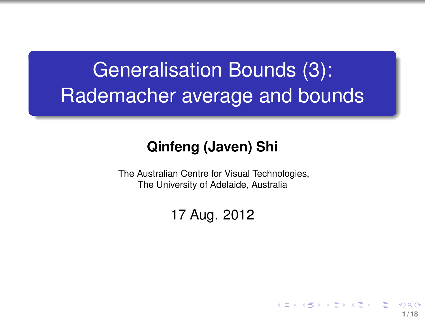# Generalisation Bounds (3): Rademacher average and bounds

#### **Qinfeng (Javen) Shi**

The Australian Centre for Visual Technologies, The University of Adelaide, Australia

#### 17 Aug. 2012

<span id="page-0-0"></span>**1 / 18**

イロト イ押 トイヨ トイヨ トー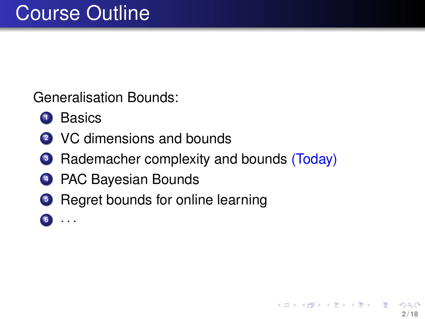Generalisation Bounds:

- Basics
- VC dimensions and bounds
- Rademacher complexity and bounds (Today)
- PAC Bayesian Bounds
- Regret bounds for online learning
- · · ·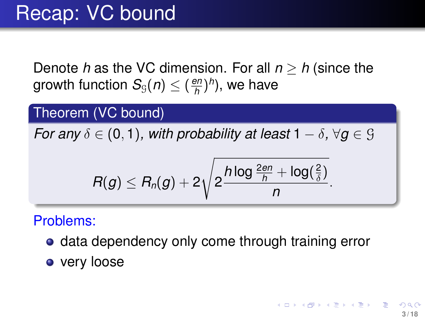Denote *h* as the VC dimension. For all *n* ≥ *h* (since the growth function  $\mathcal{S}_{\tiny \mathbb{G}}(n) \leq (\frac{en}{h})$ *h* ) *h* ), we have

#### Theorem (VC bound)

*For any*  $\delta \in (0,1)$ *, with probability at least*  $1 - \delta$ *,*  $\forall q \in \mathcal{G}$ 

$$
R(g) \leq R_n(g) + 2\sqrt{2\frac{h\log \frac{2en}{h} + \log(\frac{2}{\delta})}{n}}.
$$

#### Problems:

- **data dependency only come through training error**
- very loose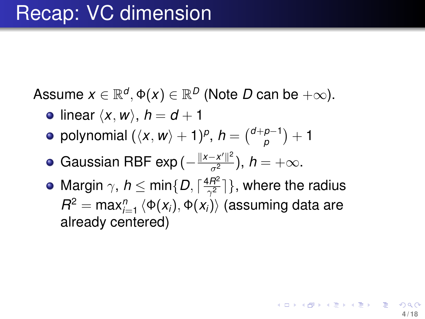Assume  $x \in \mathbb{R}^d$ ,  $\Phi(x) \in \mathbb{R}^D$  (Note  $D$  can be  $+\infty$ ).

- linear  $\langle x, w \rangle$ ,  $h = d + 1$
- polynomial  $(\langle x, w \rangle + 1)^p$ ,  $h = \binom{d+p-1}{p}$  $_{p}^{p-1}) + 1$
- Gaussian RBF exp ( $-\frac{\|x-x'\|^2}{\sigma^2}$ ),  $h=+\infty.$
- Margin  $\gamma$ ,  $h \leq \min\{D, \lceil \frac{4R^2}{\gamma^2} \rceil\}$  $\frac{3H^2}{\gamma^2}]\},$  where the radius  $R^2 = \max_{i=1}^n\left\langle \Phi(X_i),\Phi(X_i) \right\rangle$  (assuming data are already centered)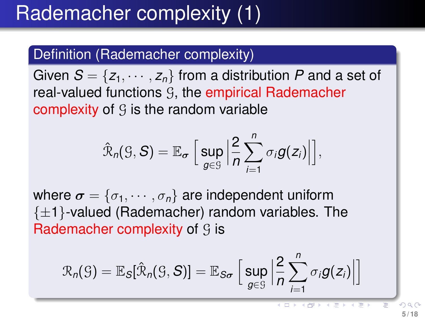## Rademacher complexity (1)

#### Definition (Rademacher complexity)

Given  $S = \{z_1, \dots, z_n\}$  from a distribution P and a set of real-valued functions G, the empirical Rademacher complexity of  $\mathcal G$  is the random variable

$$
\hat{\mathcal{R}}_n(\mathcal{G}, S) = \mathbb{E}_{\sigma}\left[\left.\sup_{g \in \mathcal{G}}\left|\frac{2}{n}\sum_{i=1}^n \sigma_i g(z_i)\right|\right],\right.
$$

where  $\boldsymbol{\sigma} = {\sigma_1, \cdots, \sigma_n}$  are independent uniform  $\{\pm 1\}$ -valued (Rademacher) random variables. The Rademacher complexity of  $\mathcal G$  is

$$
\mathcal{R}_n(\mathcal{G}) = \mathbb{E}_{\mathcal{S}}[\hat{\mathcal{R}}_n(\mathcal{G}, \mathcal{S})] = \mathbb{E}_{\mathcal{S}\sigma}\left[\left.\sup_{g\in\mathcal{G}}\right|\frac{2}{n}\sum_{i=1}^n \sigma_i g(z_i)\right]
$$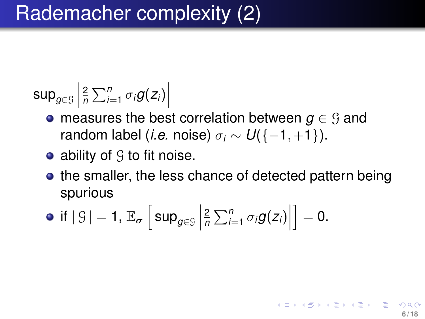$$
\sup_{g\in\mathcal{G}}\left|\frac{2}{n}\sum_{i=1}^n\sigma_i g(z_i)\right|
$$

- measures the best correlation between  $g \in \mathcal{G}$  and random label (*i.e.* noise)  $\sigma_i \sim U(\{-1, +1\})$ .
- ability of  $\mathcal G$  to fit noise.
- the smaller, the less chance of detected pattern being spurious

**6 / 18**

K ロ ▶ K 個 ▶ K 君 ▶ K 君 ▶ ○ 君

• if 
$$
|g| = 1
$$
,  $\mathbb{E}_{\sigma} \left[ \sup_{g \in \mathcal{G}} \left| \frac{2}{n} \sum_{i=1}^{n} \sigma_i g(z_i) \right| \right] = 0$ .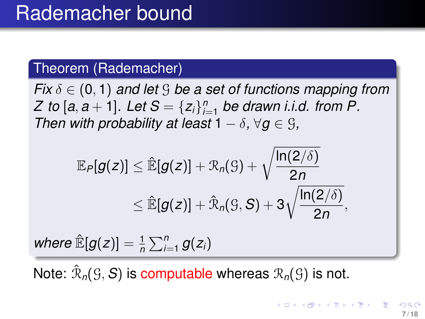#### Theorem (Rademacher)

*Fix*  $\delta \in (0, 1)$  *and let* G *be a set of functions mapping from Z* to [a, a + 1]. Let  $S = \{z_i\}_{i=1}^n$  be drawn i.i.d. from P. *Then with probability at least*  $1 - \delta$ ,  $\forall g \in \mathcal{G}$ ,

$$
\mathbb{E}_{P}[g(z)] \leq \hat{\mathbb{E}}[g(z)] + \mathfrak{R}_{n}(S) + \sqrt{\frac{\ln(2/\delta)}{2n}} \newline \leq \hat{\mathbb{E}}[g(z)] + \hat{\mathfrak{R}}_{n}(S, S) + 3\sqrt{\frac{\ln(2/\delta)}{2n}} \newline
$$

 $where \mathbb{E}[g(z)] = \frac{1}{n} \sum_{i=1}^{n} g(z_i)$ 

Note:  $\hat{\mathcal{R}}_n(\mathcal{G}, \mathcal{S})$  is computable whereas  $\mathcal{R}_n(\mathcal{G})$  is not.

,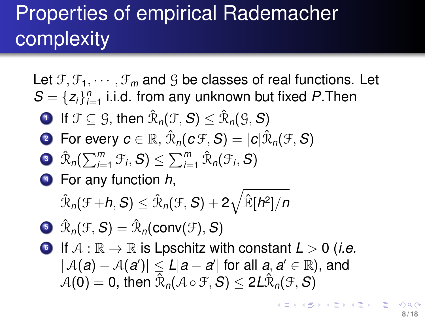# Properties of empirical Rademacher complexity

Let  $f_1, f_2, \dots, f_m$  and G be classes of real functions. Let  $S = \{z_i\}_{i=1}^n$  i.i.d. from any unknown but fixed P.Then **1** If  $\mathcal{F} \subseteq \mathcal{G}$ , then  $\hat{\mathcal{R}}_n(\mathcal{F}, \mathcal{S}) \leq \hat{\mathcal{R}}_n(\mathcal{G}, \mathcal{S})$ **2** For every  $\boldsymbol{c} \in \mathbb{R}$ ,  $\hat{\mathcal{R}}_n(\boldsymbol{c} | \mathcal{F}, \boldsymbol{S}) = |\boldsymbol{c}| \hat{\mathcal{R}}_n(\mathcal{F}, \boldsymbol{S})$  $\mathfrak{R}_n(\sum_{i=1}^m \mathfrak{F}_i, \mathcal{S}) \leq \sum_{i=1}^m \hat{\mathfrak{R}}_n(\mathfrak{F}_i, \mathcal{S})$ **<sup>4</sup>** For any function *h*,  $\hat{\mathcal{R}}_{\mathit{n}}(\mathcal{F} \!+\! h, \mathcal{S}) \leq \hat{\mathcal{R}}_{\mathit{n}}(\mathcal{F}, \mathcal{S}) + 2 \sqrt{\hat{\mathbb{E}}[h^2]/n}$  $\mathfrak{R}_n(\mathfrak{F}, \mathcal{S}) = \hat{\mathfrak{R}}_n(\mathsf{conv}(\mathfrak{F}), \mathcal{S})$ **6** If  $A : \mathbb{R} \to \mathbb{R}$  is Lpschitz with constant  $L > 0$  (*i.e.*  $|\mathcal{A}(a) - \mathcal{A}(a')| \le L|a - a'|$  for all  $a, a' \in \mathbb{R}$ ), and  $\hat{\mathcal{A}}(\mathbf{0}) = \mathbf{0}$ , then  $\hat{\mathcal{R}}_{\mathit{n}}(\mathcal{A}\circ\mathcal{F},\mathcal{S}) \leq 2 L \hat{\mathcal{R}}_{\mathit{n}}(\mathcal{F},\mathcal{S})$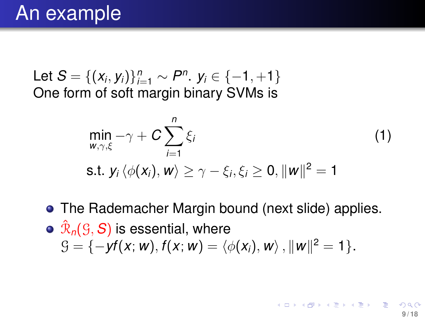Let  $S = \{(x_i, y_i)\}_{i=1}^n \sim P^n$ .  $y_i \in \{-1, +1\}$ One form of soft margin binary SVMs is

$$
\min_{w,\gamma,\xi} -\gamma + C \sum_{i=1}^{n} \xi_i
$$
\n
$$
\text{s.t. } y_i \langle \phi(x_i), w \rangle \ge \gamma - \xi_i, \xi_i \ge 0, ||w||^2 = 1
$$
\n(1)

• The Rademacher Margin bound (next slide) applies.  $\hat{\mathcal{R}}_{\mathsf{n}}(\mathfrak{S},\boldsymbol{S})$  is essential, where  $\mathcal{G} = \{-\textit{yf}(x; w), \textit{f}(x; w) = \langle \phi(x_i), w \rangle, \|w\|^2 = 1\}.$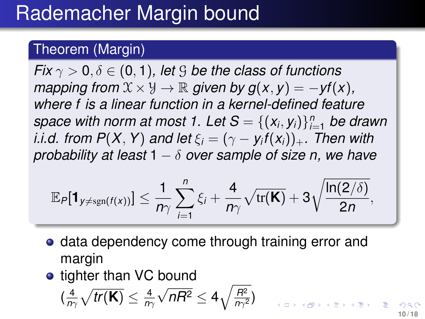### Rademacher Margin bound

#### Theorem (Margin)

*Fix*  $\gamma > 0$ ,  $\delta \in (0, 1)$ , let G be the class of functions *mapping from*  $\mathcal{X} \times \mathcal{Y} \rightarrow \mathbb{R}$  *given by g*(*x*, *y*) =  $-yf(x)$ *, where f is a linear function in a kernel-defined feature space with norm at most 1. Let*  $\mathcal{S} = \{(\mathsf{x}_i, \mathsf{y}_i)\}_{i=1}^n$  *be drawn i.i.d. from P* $(X, Y)$  *and let*  $\xi_i = (\gamma - y_i f(x_i))_+$ *. Then with probability at least* 1 − δ *over sample of size n, we have*

$$
\mathbb{E}_{P}[\mathbf{1}_{y \neq \text{sgn}(f(x))}] \leq \frac{1}{n\gamma} \sum_{i=1}^{n} \xi_{i} + \frac{4}{n\gamma} \sqrt{\text{tr}(\mathbf{K})} + 3 \sqrt{\frac{\ln(2/\delta)}{2n}},
$$

- **data dependency come through training error and** margin
- tighter than VC bound

$$
(\tfrac{4}{n\gamma}\sqrt{tr(\mathbf{K})}\leq \tfrac{4}{n\gamma}\sqrt{nR^2}\leq 4\sqrt{\tfrac{R^2}{n\gamma^2}})
$$

 $\Box \rightarrow A \Box B \rightarrow A \Box B \rightarrow A \Box B$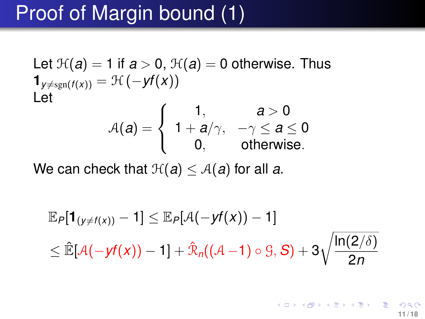### Proof of Margin bound (1)

Let 
$$
\mathcal{H}(a) = 1
$$
 if  $a > 0$ ,  $\mathcal{H}(a) = 0$  otherwise. Thus  
\n
$$
\mathbf{1}_{y \neq \text{sgn}(f(x))} = \mathcal{H}(-yf(x))
$$
\nLet  
\n
$$
\mathcal{A}(a) = \begin{cases}\n1, & a > 0 \\
1 + a/\gamma, & -\gamma \le a \le 0 \\
0, & \text{otherwise.} \n\end{cases}
$$

We can check that  $\mathcal{H}(a) \leq \mathcal{A}(a)$  for all a.

$$
\mathbb{E}_{P}[\mathbf{1}_{(y\neq f(x))}-1] \leq \mathbb{E}_{P}[\mathcal{A}(-yf(x))-1]
$$
  

$$
\leq \mathbb{\hat{E}}[\mathcal{A}(-yf(x))-1]+\mathbb{\hat{R}}_{n}((\mathcal{A}-1)\circ \mathcal{G}, \mathcal{S})+3\sqrt{\frac{\ln(2/\delta)}{2n}}
$$

**K ロメ K 御 メ K 君 メ K 君 X 11 / 18**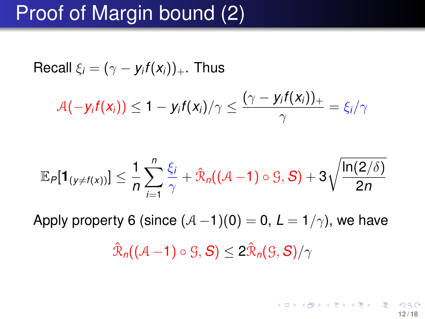### Proof of Margin bound (2)

Recall 
$$
\xi_i = (\gamma - y_i f(x_i))_+
$$
. Thus  
\n
$$
\mathcal{A}(-y_i f(x_i)) \le 1 - y_i f(x_i) / \gamma \le \frac{(\gamma - y_i f(x_i))_+}{\gamma} = \xi_i / \gamma
$$

$$
\mathbb{E}_{P}[\mathbf{1}_{(y\neq f(x))}]\leq \frac{1}{n}\sum_{i=1}^{n}\frac{\xi_{i}}{\gamma}+\hat{\mathbb{R}}_{n}((\mathcal{A}-1)\circ \mathcal{G},\mathcal{S})+3\sqrt{\frac{\ln(2/\delta)}{2n}}
$$

Apply property 6 (since  $(A-1)(0) = 0$ ,  $L = 1/\gamma$ ), we have

$$
\hat{\mathcal{R}}_n((\mathcal{A}-1)\circ \mathcal{G}, \mathcal{S}) \leq 2\hat{\mathcal{R}}_n(\mathcal{G}, \mathcal{S})/\gamma
$$

メロトメ 御 トメ 君 トメ 君 トリ 君 **12 / 18**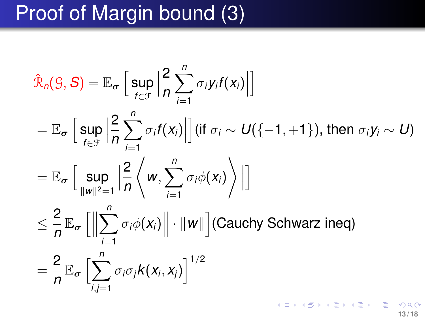## Proof of Margin bound (3)

$$
\hat{\mathcal{R}}_n(S, S) = \mathbb{E}_{\sigma} \left[ \sup_{f \in \mathcal{F}} \left| \frac{2}{n} \sum_{i=1}^n \sigma_i y_i f(x_i) \right| \right]
$$
\n
$$
= \mathbb{E}_{\sigma} \left[ \sup_{f \in \mathcal{F}} \left| \frac{2}{n} \sum_{i=1}^n \sigma_i f(x_i) \right| \right] (\text{if } \sigma_i \sim U\left\{-1, +1\right\}), \text{ then } \sigma_i y_i \sim U\right)
$$
\n
$$
= \mathbb{E}_{\sigma} \left[ \sup_{\|w\|^2=1} \left| \frac{2}{n} \left\langle w, \sum_{i=1}^n \sigma_i \phi(x_i) \right\rangle \right| \right]
$$
\n
$$
\leq \frac{2}{n} \mathbb{E}_{\sigma} \left[ \left\| \sum_{i=1}^n \sigma_i \phi(x_i) \right\| \cdot \|w\| \right] \text{(Cauchy Schwarz ineq)}
$$
\n
$$
= \frac{2}{n} \mathbb{E}_{\sigma} \left[ \sum_{i,j=1}^n \sigma_i \sigma_j k(x_i, x_j) \right]^{1/2}
$$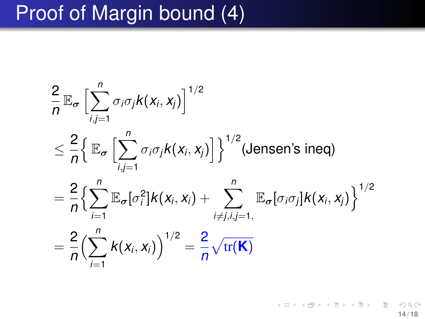## Proof of Margin bound (4)

$$
\frac{2}{n} \mathbb{E}_{\sigma} \left[ \sum_{i,j=1}^{n} \sigma_{i} \sigma_{j} k(x_{i}, x_{j}) \right]^{1/2}
$$
\n
$$
\leq \frac{2}{n} \Big\{ \mathbb{E}_{\sigma} \left[ \sum_{i,j=1}^{n} \sigma_{i} \sigma_{j} k(x_{i}, x_{j}) \right] \Big\}^{1/2} \text{ (Jensen's ineq)}
$$
\n
$$
= \frac{2}{n} \Big\{ \sum_{i=1}^{n} \mathbb{E}_{\sigma} [\sigma_{i}^{2}] k(x_{i}, x_{i}) + \sum_{i \neq j, i, j=1, \atop j \neq j, i, j=1,}^{n} \mathbb{E}_{\sigma} [\sigma_{i} \sigma_{j}] k(x_{i}, x_{j}) \Big\}^{1/2}
$$
\n
$$
= \frac{2}{n} \Big( \sum_{i=1}^{n} k(x_{i}, x_{i}) \Big)^{1/2} = \frac{2}{n} \sqrt{\text{tr}(\mathbf{K})}
$$

メロメメ 御 メメ きょくきょう  $290$ **14 / 18**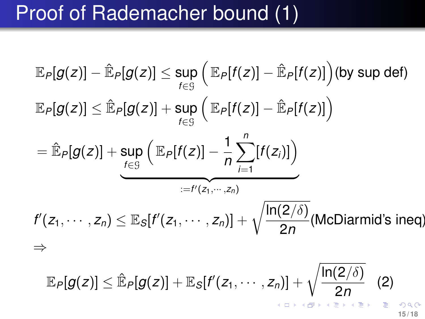## Proof of Rademacher bound (1)

<span id="page-14-0"></span>
$$
\mathbb{E}_{P}[g(z)] - \mathbb{E}_{P}[g(z)] \leq \sup_{f \in \mathcal{G}} \left( \mathbb{E}_{P}[f(z)] - \mathbb{E}_{P}[f(z)] \right) \text{(by sup def)}
$$
\n
$$
\mathbb{E}_{P}[g(z)] \leq \mathbb{E}_{P}[g(z)] + \sup_{f \in \mathcal{G}} \left( \mathbb{E}_{P}[f(z)] - \mathbb{E}_{P}[f(z)] \right)
$$
\n
$$
= \mathbb{E}_{P}[g(z)] + \sup_{f \in \mathcal{G}} \left( \mathbb{E}_{P}[f(z)] - \frac{1}{n} \sum_{i=1}^{n} [f(z_i)] \right)
$$
\n
$$
\xrightarrow{\mathcal{G}} \mathbb{E}_{f'}[g(z)] + \mathbb{E}_{S}[f'(z_1, \dots, z_n)] + \sqrt{\frac{\ln(2/\delta)}{2n}} \text{(McDiarmid's ineq)}
$$
\n
$$
\Rightarrow
$$
\n
$$
\mathbb{E}_{P}[g(z)] \leq \mathbb{E}_{P}[g(z)] + \mathbb{E}_{S}[f'(z_1, \dots, z_n)] + \sqrt{\frac{\ln(2/\delta)}{2n}} \quad (2)
$$

**15 / 18**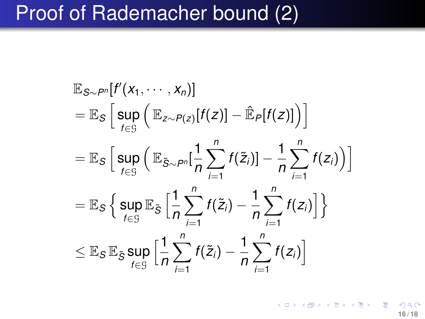### Proof of Rademacher bound (2)

$$
\mathbb{E}_{S \sim P^n}[f'(x_1, \dots, x_n)]
$$
\n
$$
= \mathbb{E}_{S} \left[ \sup_{f \in S} \left( \mathbb{E}_{z \sim P(z)}[f(z)] - \hat{\mathbb{E}}_{P}[f(z)] \right) \right]
$$
\n
$$
= \mathbb{E}_{S} \left[ \sup_{f \in S} \left( \mathbb{E}_{\tilde{S} \sim P^n} \left[ \frac{1}{n} \sum_{i=1}^n f(\tilde{z}_i) \right] - \frac{1}{n} \sum_{i=1}^n f(z_i) \right) \right]
$$
\n
$$
= \mathbb{E}_{S} \left\{ \sup_{f \in S} \mathbb{E}_{\tilde{S}} \left[ \frac{1}{n} \sum_{i=1}^n f(\tilde{z}_i) - \frac{1}{n} \sum_{i=1}^n f(z_i) \right] \right\}
$$
\n
$$
\leq \mathbb{E}_{S} \mathbb{E}_{\tilde{S}} \sup_{f \in S} \left[ \frac{1}{n} \sum_{i=1}^n f(\tilde{z}_i) - \frac{1}{n} \sum_{i=1}^n f(z_i) \right]
$$

<span id="page-15-0"></span>メロトメ 倒 トメ 君 トメ 君 トー **16 / 18**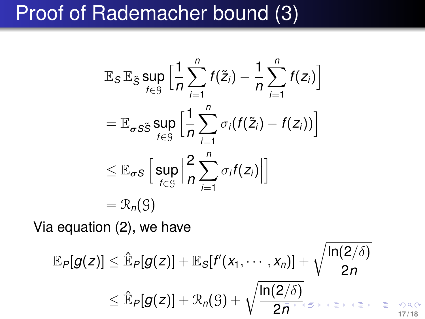### Proof of Rademacher bound (3)

$$
\mathbb{E}_{S} \mathbb{E}_{\tilde{S}} \sup_{f \in \mathcal{G}} \Big[ \frac{1}{n} \sum_{i=1}^{n} f(\tilde{z}_{i}) - \frac{1}{n} \sum_{i=1}^{n} f(z_{i}) \Big]
$$
\n
$$
= \mathbb{E}_{\sigma S \tilde{S}} \sup_{f \in \mathcal{G}} \Big[ \frac{1}{n} \sum_{i=1}^{n} \sigma_{i} (f(\tilde{z}_{i}) - f(z_{i})) \Big]
$$
\n
$$
\leq \mathbb{E}_{\sigma S} \Big[ \sup_{f \in \mathcal{G}} \Big| \frac{2}{n} \sum_{i=1}^{n} \sigma_{i} f(z_{i}) \Big| \Big]
$$
\n
$$
= \mathcal{R}_{n}(\mathcal{G})
$$

Via equation [\(2\)](#page-14-0), we have

$$
\mathbb{E}_{P}[g(z)] \leq \hat{\mathbb{E}}_{P}[g(z)] + \mathbb{E}_{S}[f'(x_{1}, \cdots, x_{n})] + \sqrt{\frac{\ln(2/\delta)}{2n}}
$$
  
 
$$
\leq \hat{\mathbb{E}}_{P}[g(z)] + \mathcal{R}_{n}(S) + \sqrt{\frac{\ln(2/\delta)}{2n}}
$$